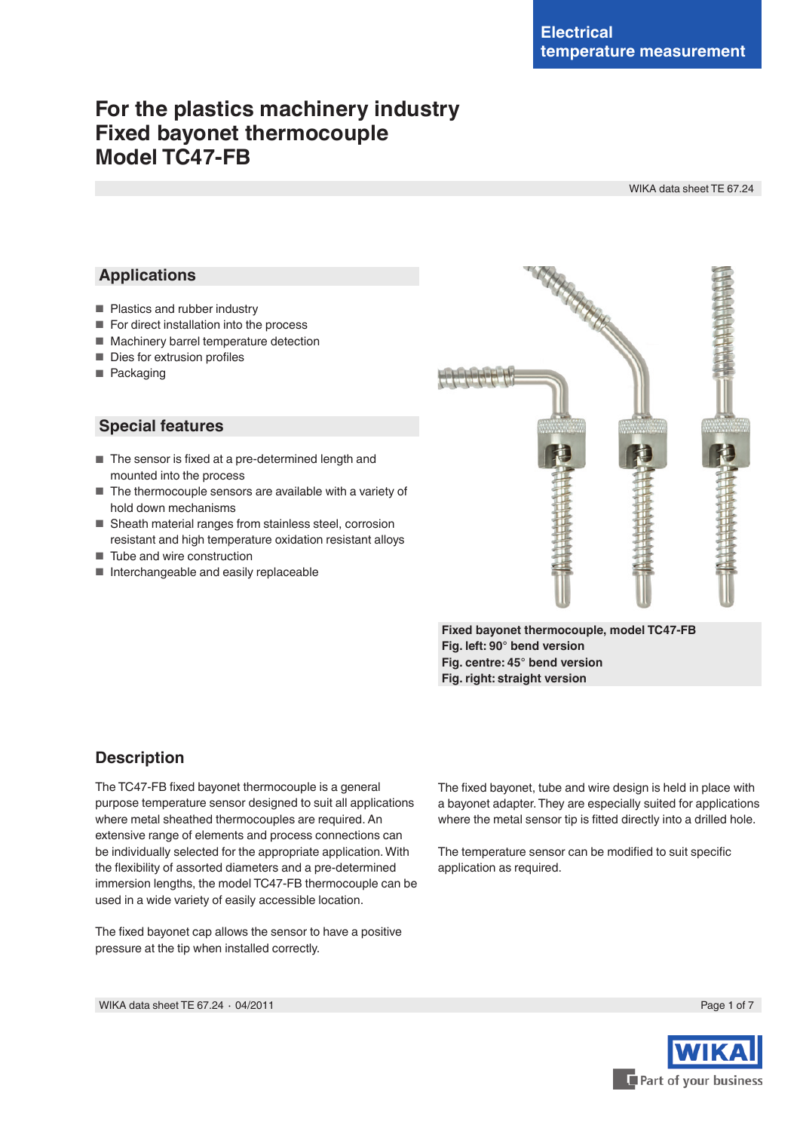# **For the plastics machinery industry Fixed bayonet thermocouple Model TC47-FB**

WIKA data sheet TE 67.24

## **Applications**

- Plastics and rubber industry
- For direct installation into the process
- Machinery barrel temperature detection
- Dies for extrusion profiles
- Packaging

## **Special features**

- The sensor is fixed at a pre-determined length and mounted into the process
- The thermocouple sensors are available with a variety of hold down mechanisms
- Sheath material ranges from stainless steel, corrosion resistant and high temperature oxidation resistant alloys
- Tube and wire construction
- Interchangeable and easily replaceable



**Fixed bayonet thermocouple, model TC47-FB Fig. left: 90° bend version Fig. centre: 45° bend version Fig. right: straight version**

## **Description**

The TC47-FB fixed bayonet thermocouple is a general purpose temperature sensor designed to suit all applications where metal sheathed thermocouples are required. An extensive range of elements and process connections can be individually selected for the appropriate application.With the flexibility of assorted diameters and a pre-determined immersion lengths, the model TC47-FB thermocouple can be used in a wide variety of easily accessible location.

The fixed bayonet cap allows the sensor to have a positive pressure at the tip when installed correctly.

The fixed bayonet, tube and wire design is held in place with a bayonet adapter.They are especially suited for applications where the metal sensor tip is fitted directly into a drilled hole.

The temperature sensor can be modified to suit specific application as required.



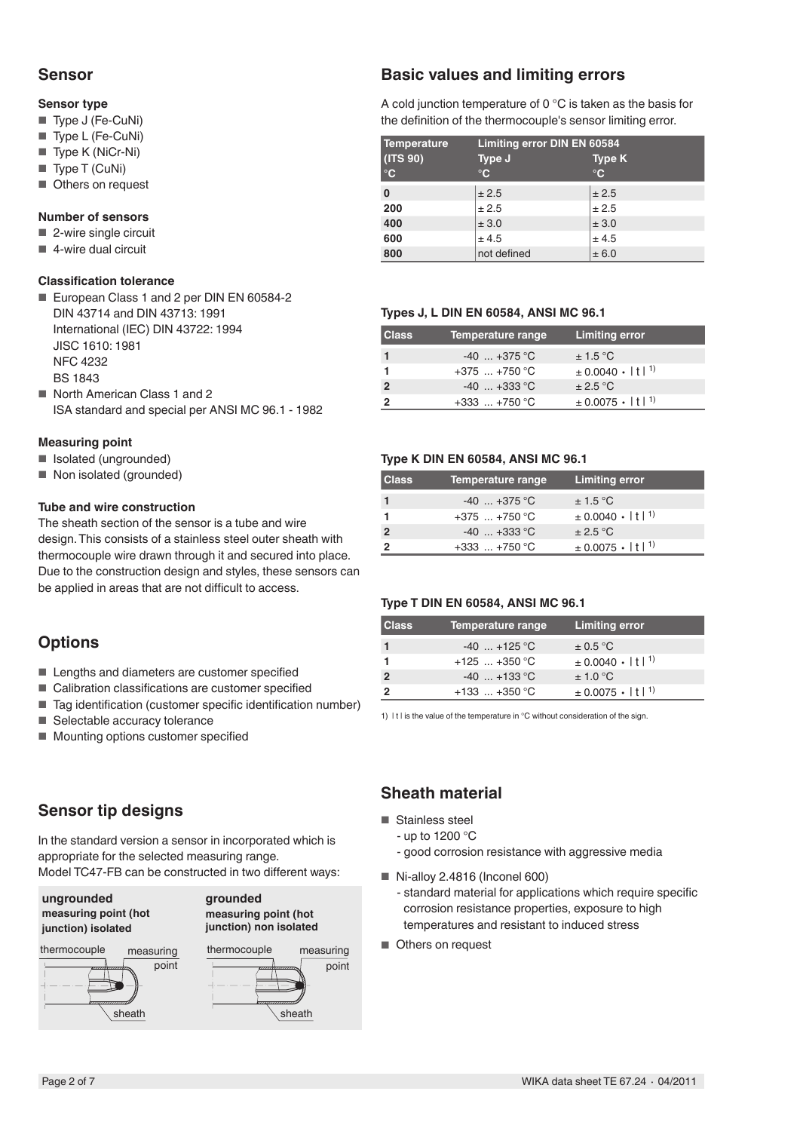## **Sensor**

#### **Sensor type**

- Type J (Fe-CuNi)
- Type L (Fe-CuNi)
- Type K (NiCr-Ni)
- Type T (CuNi)
- Others on request

#### **Number of sensors**

- 2-wire single circuit
- $\blacksquare$  4-wire dual circuit

#### **Classification tolerance**

- European Class 1 and 2 per DIN EN 60584-2 DIN 43714 and DIN 43713: 1991 International (IEC) DIN 43722: 1994 JISC 1610: 1981 NFC 4232 BS 1843
- North American Class 1 and 2 ISA standard and special per ANSI MC 96.1 - 1982

#### **Measuring point**

- Isolated (ungrounded)
- Non isolated (grounded)

#### **Tube and wire construction**

The sheath section of the sensor is a tube and wire design.This consists of a stainless steel outer sheath with thermocouple wire drawn through it and secured into place. Due to the construction design and styles, these sensors can be applied in areas that are not difficult to access.

## **Options**

- Lengths and diameters are customer specified
- Calibration classifications are customer specified
- Tag identification (customer specific identification number)
- Selectable accuracy tolerance
- Mounting options customer specified

## **Sensor tip designs**

In the standard version a sensor in incorporated which is appropriate for the selected measuring range. Model TC47-FB can be constructed in two different ways:

**ungrounded measuring point (hot junction) isolated**

## **grounded measuring point (hot**





## **Basic values and limiting errors**

A cold junction temperature of 0 °C is taken as the basis for the definition of the thermocouple's sensor limiting error.

| Temperature       | Limiting error DIN EN 60584 |               |  |  |
|-------------------|-----------------------------|---------------|--|--|
| (TS 90)           | Type J                      | <b>Type K</b> |  |  |
| $^\circ \text{C}$ | $\mathbf{C}$                | $^{\circ}$ C  |  |  |
| 0                 | ± 2.5                       | ± 2.5         |  |  |
| 200               | ± 2.5                       | ± 2.5         |  |  |
| 400               | ± 3.0                       | ± 3.0         |  |  |
| 600               | ± 4.5                       | ± 4.5         |  |  |
| 800               | not defined                 | ± 6.0         |  |  |

#### **Types J, L DIN EN 60584, ANSI MC 96.1**

| <b>Class</b> | Temperature range | <b>Limiting error</b>                   |
|--------------|-------------------|-----------------------------------------|
|              | $-40$ $+375$ °C   | $\pm$ 1.5 °C                            |
|              | $+375$ $+750$ °C  | $\pm 0.0040 \cdot  t ^{1}$              |
|              | $-40$ $+333$ °C   | $\pm 2.5$ °C                            |
|              | $+333$ $+750$ °C  | $\pm$ 0.0075 $\cdot$   t  <sup>1)</sup> |

#### **Type K DIN EN 60584, ANSI MC 96.1**

| <b>Class</b> | Temperature range | <b>Limiting error</b>                   |
|--------------|-------------------|-----------------------------------------|
|              | $-40$ $+375$ °C   | $\pm$ 1.5 °C                            |
|              | $+375$ $+750$ °C  | $\pm$ 0.0040 $\cdot$   t  <sup>1)</sup> |
|              | $-40$ $+333$ °C   | $\pm 2.5$ °C                            |
|              | $+333$ $+750$ °C  | $\pm$ 0.0075 $\cdot$   t  <sup>1)</sup> |

#### **Type T DIN EN 60584, ANSI MC 96.1**

| <b>Class</b> | Temperature range | <b>Limiting error</b>                   |
|--------------|-------------------|-----------------------------------------|
|              | $-40$ $+125$ °C   | $\pm$ 0.5 °C                            |
|              | $+125$ $+350$ °C  | $\pm 0.0040 \cdot  t ^{1}$              |
|              | $-40$ +133 °C     | $\pm$ 1.0 °C                            |
|              | $+133$ $+350$ °C  | $\pm$ 0.0075 $\cdot$   t  <sup>1)</sup> |

1) It I is the value of the temperature in °C without consideration of the sign.

## **Sheath material**

- Stainless steel
	- up to 1200 °C
	- good corrosion resistance with aggressive media
- $\blacksquare$  Ni-allov 2.4816 (Inconel 600) - standard material for applications which require specific
	- corrosion resistance properties, exposure to high temperatures and resistant to induced stress
- Others on request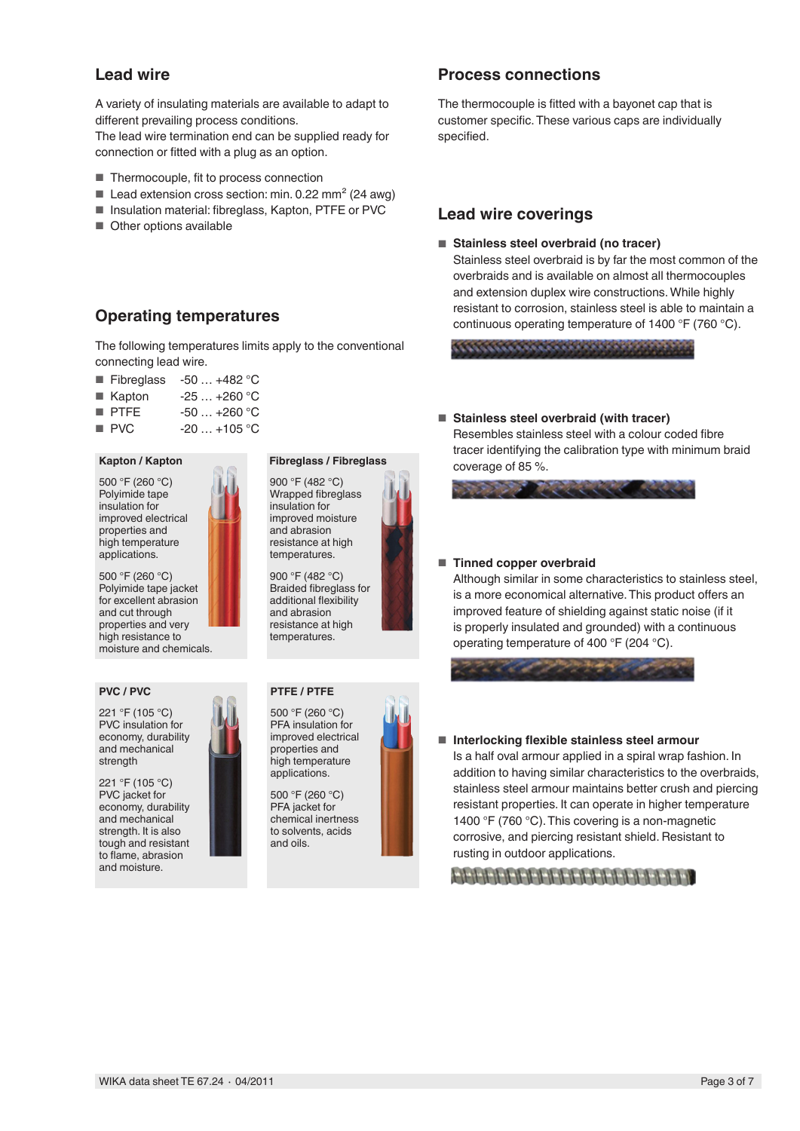## **Lead wire**

A variety of insulating materials are available to adapt to different prevailing process conditions.

The lead wire termination end can be supplied ready for connection or fitted with a plug as an option.

- Thermocouple, fit to process connection
- Lead extension cross section: min.  $0.22$  mm<sup>2</sup> (24 awg)
- Insulation material: fibreglass, Kapton, PTFE or PVC
- Other options available

## **Operating temperatures**

The following temperatures limits apply to the conventional connecting lead wire.

- Fibreglass  $-50$  ...  $+482$  °C
- $\blacksquare$  Kapton  $-25$  ... +260 °C
- PTFE -50 ... +260 °C
- $\blacksquare$  PVC  $\blacksquare$  -20  $\ldots$  +105 °C

#### **Kapton / Kapton**

500 °F (260 °C) Polyimide tape insulation for improved electrical properties and high temperature applications.

500 °F (260 °C) Polyimide tape jacket for excellent abrasion and cut through properties and very high resistance to moisture and chemicals.

#### **PVC / PVC**

221 °F (105 °C) PVC insulation for economy, durability and mechanical strength

221 °F (105 °C) PVC jacket for economy, durability and mechanical strength. It is also tough and resistant to flame, abrasion and moisture.

## **Fibreglass / Fibreglass**

900 °F (482 °C) Wrapped fibreglass insulation for improved moisture and abrasion resistance at high temperatures.

900 °F (482 °C) Braided fibreglass for additional flexibility and abrasion resistance at high temperatures.

#### **PTFE / PTFE**



500 °F (260 °C) PFA jacket for chemical inertness to solvents, acids and oils.

## **Process connections**

The thermocouple is fitted with a bayonet cap that is customer specific.These various caps are individually specified.

#### **Lead wire coverings**

#### ■ **Stainless steel overbraid (no tracer)**

Stainless steel overbraid is by far the most common of the overbraids and is available on almost all thermocouples and extension duplex wire constructions.While highly resistant to corrosion, stainless steel is able to maintain a continuous operating temperature of 1400 °F (760 °C).

#### ■ **Stainless steel overbraid (with tracer)**

Resembles stainless steel with a colour coded fibre tracer identifying the calibration type with minimum braid coverage of 85 %.

#### ■ **Tinned copper overbraid**

Although similar in some characteristics to stainless steel, is a more economical alternative.This product offers an improved feature of shielding against static noise (if it is properly insulated and grounded) with a continuous operating temperature of 400 °F (204 °C).



■ **Interlocking flexible stainless steel armour** Is a half oval armour applied in a spiral wrap fashion. In addition to having similar characteristics to the overbraids, stainless steel armour maintains better crush and piercing resistant properties. It can operate in higher temperature 1400 °F (760 °C). This covering is a non-magnetic corrosive, and piercing resistant shield. Resistant to rusting in outdoor applications.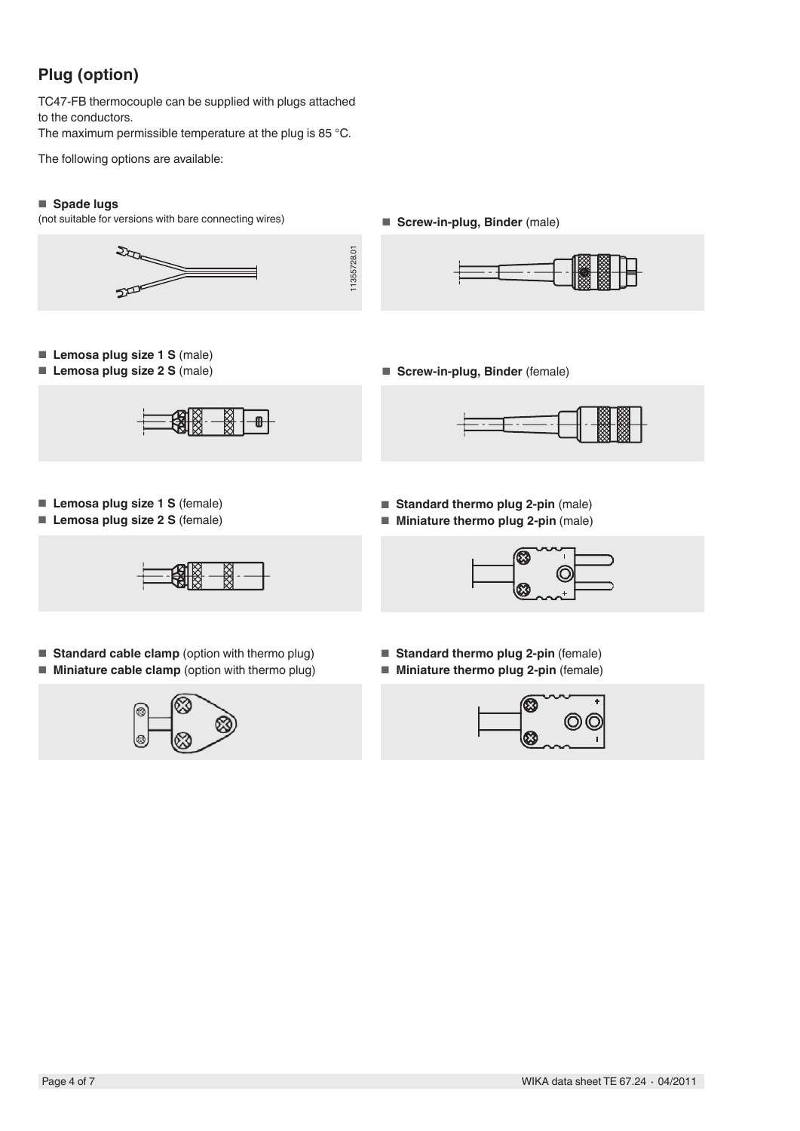# **Plug (option)**

TC47-FB thermocouple can be supplied with plugs attached to the conductors.

The maximum permissible temperature at the plug is 85 °C.

The following options are available:

### ■ **Spade lugs**

(not suitable for versions with bare connecting wires)

■ **Screw-in-plug, Binder** (male)







- **Lemosa plug size 1 S** (male)
- **Lemosa plug size 2 S** (male)



■ **Screw-in-plug, Binder** (female)

- **Lemosa plug size 1 S** (female)
- **Lemosa plug size 2 S** (female)



- **Standard cable clamp** (option with thermo plug)
- **Miniature cable clamp** (option with thermo plug)



- **Standard thermo plug 2-pin** (male)
- **Miniature thermo plug 2-pin** (male)



- **Standard thermo plug 2-pin** (female)
- **Miniature thermo plug 2-pin** (female)

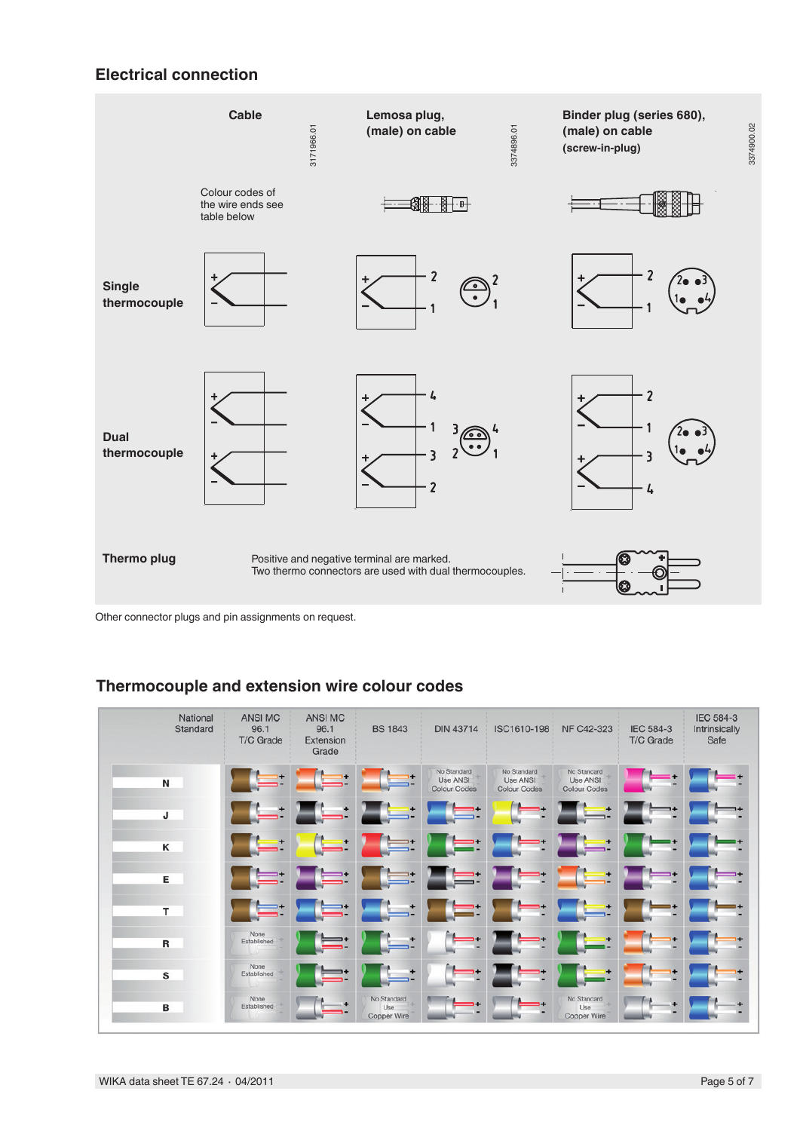## **Electrical connection**



Other connector plugs and pin assignments on request.

## **Thermocouple and extension wire colour codes**

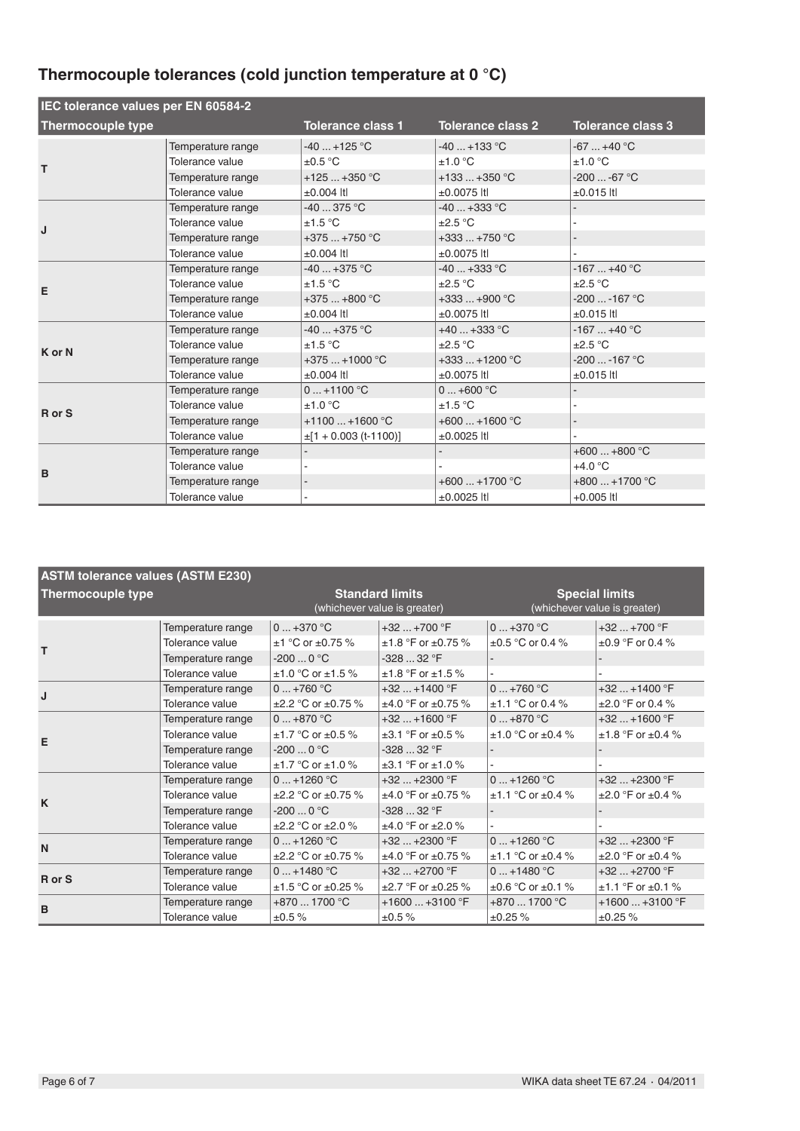# **Thermocouple tolerances (cold junction temperature at 0 °C)**

| IEC tolerance values per EN 60584-2 |                                                                                                 |                                                                            |                                                                                 |                                                                     |
|-------------------------------------|-------------------------------------------------------------------------------------------------|----------------------------------------------------------------------------|---------------------------------------------------------------------------------|---------------------------------------------------------------------|
| <b>Thermocouple type</b>            |                                                                                                 | <b>Tolerance class 1</b>                                                   | <b>Tolerance class 2</b>                                                        | <b>Tolerance class 3</b>                                            |
| т                                   | Temperature range<br>Tolerance value<br>Temperature range                                       | $-40$ +125 °C<br>$\pm 0.5$ °C<br>$+125+350$ °C                             | $-40+133$ °C<br>±1.0 °C<br>$+133+350$ °C                                        | $-67+40 °C$<br>±1.0 °C<br>$-200 -67 °C$                             |
| J                                   | Tolerance value<br>Temperature range<br>Tolerance value<br>Temperature range<br>Tolerance value | $±0.004$ Itl<br>$-40375 °C$<br>±1.5 °C<br>$+375+750$ °C<br>$\pm 0.004$ Itl | $±0.0075$ Itl<br>$-40+333$ °C<br>$\pm 2.5$ °C<br>$+333+750$ °C<br>$±0.0075$ Itl | $\pm 0.015$ Itl                                                     |
| E                                   | Temperature range<br>Tolerance value<br>Temperature range<br>Tolerance value                    | $-40$ $+375$ °C<br>±1.5 °C<br>$+375+800$ °C<br>$±0.004$ Itl                | -40  +333 °C<br>$\pm 2.5$ °C<br>$+333+900$ °C<br>$±0.0075$ Itl                  | $-167+40 °C$<br>$\pm 2.5$ °C<br>$-200$ $-167$ °C<br>$\pm 0.015$ Itl |
| K or N                              | Temperature range<br>Tolerance value<br>Temperature range<br>Tolerance value                    | $-40+375$ °C<br>±1.5 °C<br>$+375+1000$ °C<br>$±0.004$ Itl                  | $+40+333$ °C<br>$\pm 2.5$ °C<br>+333  +1200 °C<br>$±0.0075$ Itl                 | $-167+40$ °C<br>$\pm 2.5$ °C<br>$-200$ $-167$ °C<br>$\pm 0.015$ Itl |
| R or S                              | Temperature range<br>Tolerance value<br>Temperature range<br>Tolerance value                    | $0+1100 °C$<br>±1.0 °C<br>$+1100+1600$ °C<br>$\pm$ [1 + 0.003 (t-1100)]    | $0+600 °C$<br>±1.5 °C<br>$+600+1600$ °C<br>$±0.0025$ Itl                        | $\overline{a}$                                                      |
| B                                   | Temperature range<br>Tolerance value<br>Temperature range<br>Tolerance value                    |                                                                            | $+600+1700$ °C<br>±0.0025 ltl                                                   | $+600+800$ °C<br>$+4.0 °C$<br>$+800+1700$ °C<br>$+0.005$ Itl        |

| <b>ASTM tolerance values (ASTM E230)</b> |                   |                                                        |                              |                                                       |                             |
|------------------------------------------|-------------------|--------------------------------------------------------|------------------------------|-------------------------------------------------------|-----------------------------|
| <b>Thermocouple type</b>                 |                   | <b>Standard limits</b><br>(whichever value is greater) |                              | <b>Special limits</b><br>(whichever value is greater) |                             |
|                                          | Temperature range | $0+370$ °C                                             | $+32$ $+700$ °F              | $0+370$ °C                                            | $+32+700$ °F                |
| т                                        | Tolerance value   | $\pm$ 1 °C or $\pm$ 0.75 %                             | $±1.8$ °F or $±0.75$ %       | $\pm 0.5$ °C or 0.4 %                                 | $\pm 0.9$ °F or 0.4 %       |
|                                          | Temperature range | $-2000$ °C                                             | $-32832$ °F                  |                                                       |                             |
|                                          | Tolerance value   | $±1.0 °C$ or $±1.5 %$                                  | $±1.8 °F$ or $±1.5 %$        |                                                       |                             |
| J                                        | Temperature range | $0+760$ °C                                             | $+32$ $+1400$ °F             | $0+760$ °C                                            | $+32+1400$ °F               |
|                                          | Tolerance value   | $\pm 2.2$ °C or $\pm 0.75$ %                           | $±4.0$ °F or $±0.75$ %       | $±1.1$ °C or 0.4 %                                    | $\pm 2.0$ °F or 0.4 %       |
|                                          | Temperature range | $0+870$ °C                                             | $+32$ $+1600$ °F             | $0+870$ °C                                            | $+32+1600$ °F               |
| E                                        | Tolerance value   | $\pm$ 1.7 °C or $\pm$ 0.5 %                            | $\pm 3.1$ °F or $\pm 0.5$ %  | $\pm 1.0$ °C or $\pm 0.4$ %                           | $±1.8 °F$ or $±0.4 %$       |
|                                          | Temperature range | $-2000$ °C                                             | $-32832$ °F                  |                                                       |                             |
|                                          | Tolerance value   | $±1.7 °C$ or $±1.0 %$                                  | $\pm 3.1$ °F or $\pm 1.0$ %  |                                                       |                             |
|                                          | Temperature range | $0+1260$ °C                                            | $+32$ $+2300$ °F             | $0+1260$ °C                                           | $+32$ $+2300$ °F            |
| K                                        | Tolerance value   | $\pm 2.2$ °C or $\pm 0.75$ %                           | $±4.0$ °F or $±0.75$ %       | $±1.1$ °C or $±0.4$ %                                 | $\pm 2.0$ °F or $\pm 0.4$ % |
|                                          | Temperature range | $-2000$ °C                                             | $-32832$ °F                  |                                                       |                             |
|                                          | Tolerance value   | $\pm 2.2$ °C or $\pm 2.0$ %                            | $±4.0 °F$ or $±2.0 %$        |                                                       |                             |
| N                                        | Temperature range | $0+1260 °C$                                            | $+32$ $+2300$ °F             | $0+1260 °C$                                           | $+32+2300$ °F               |
|                                          | Tolerance value   | $\pm 2.2$ °C or $\pm 0.75$ %                           | $±4.0$ °F or $±0.75$ %       | $±1.1$ °C or $±0.4$ %                                 | $\pm 2.0$ °F or $\pm 0.4$ % |
| R or S                                   | Temperature range | $0+1480 °C$                                            | $+32+2700$ °F                | $0+1480 °C$                                           | $+32+2700$ °F               |
|                                          | Tolerance value   | $±1.5$ °C or $±0.25$ %                                 | $\pm 2.7$ °F or $\pm 0.25$ % | $\pm 0.6$ °C or $\pm 0.1$ %                           | $±1.1$ °F or $±0.1$ %       |
| B                                        | Temperature range | $+8701700 °C$                                          | $+1600+3100$ °F              | $+8701700 °C$                                         | $+1600+3100$ °F             |
|                                          | Tolerance value   | ±0.5%                                                  | ±0.5%                        | ±0.25%                                                | ±0.25%                      |